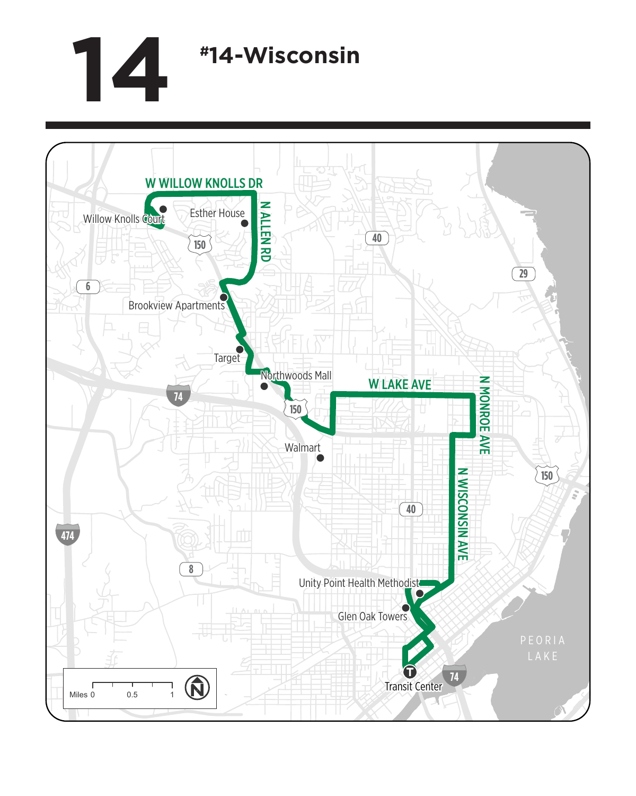## **14 #14-Wisconsin**